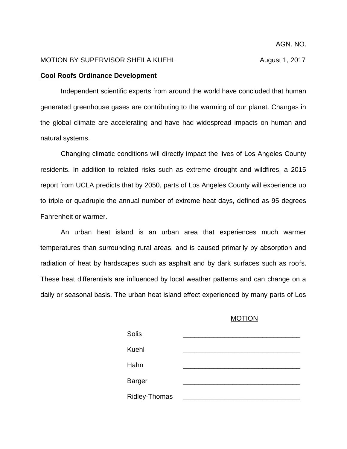## MOTION BY SUPERVISOR SHEILA KUEHL **August 1, 2017**

## **Cool Roofs Ordinance Development**

Independent scientific experts from around the world have concluded that human generated greenhouse gases are contributing to the warming of our planet. Changes in the global climate are accelerating and have had widespread impacts on human and natural systems.

Changing climatic conditions will directly impact the lives of Los Angeles County residents. In addition to related risks such as extreme drought and wildfires, a 2015 report from UCLA predicts that by 2050, parts of Los Angeles County will experience up to triple or quadruple the annual number of extreme heat days, defined as 95 degrees Fahrenheit or warmer.

An urban heat island is an urban area that experiences much warmer temperatures than surrounding rural areas, and is caused primarily by absorption and radiation of heat by hardscapes such as asphalt and by dark surfaces such as roofs. These heat differentials are influenced by local weather patterns and can change on a daily or seasonal basis. The urban heat island effect experienced by many parts of Los

## MOTION

| <b>Solis</b>  |  |
|---------------|--|
| <b>Kuehl</b>  |  |
| Hahn          |  |
|               |  |
| <b>Barger</b> |  |
| Ridley-Thomas |  |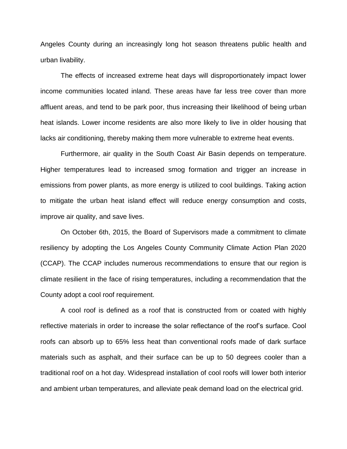Angeles County during an increasingly long hot season threatens public health and urban livability.

The effects of increased extreme heat days will disproportionately impact lower income communities located inland. These areas have far less tree cover than more affluent areas, and tend to be park poor, thus increasing their likelihood of being urban heat islands. Lower income residents are also more likely to live in older housing that lacks air conditioning, thereby making them more vulnerable to extreme heat events.

Furthermore, air quality in the South Coast Air Basin depends on temperature. Higher temperatures lead to increased smog formation and trigger an increase in emissions from power plants, as more energy is utilized to cool buildings. Taking action to mitigate the urban heat island effect will reduce energy consumption and costs, improve air quality, and save lives.

On October 6th, 2015, the Board of Supervisors made a commitment to climate resiliency by adopting the Los Angeles County Community Climate Action Plan 2020 (CCAP). The CCAP includes numerous recommendations to ensure that our region is climate resilient in the face of rising temperatures, including a recommendation that the County adopt a cool roof requirement.

A cool roof is defined as a roof that is constructed from or coated with highly reflective materials in order to increase the solar reflectance of the roof's surface. Cool roofs can absorb up to 65% less heat than conventional roofs made of dark surface materials such as asphalt, and their surface can be up to 50 degrees cooler than a traditional roof on a hot day. Widespread installation of cool roofs will lower both interior and ambient urban temperatures, and alleviate peak demand load on the electrical grid.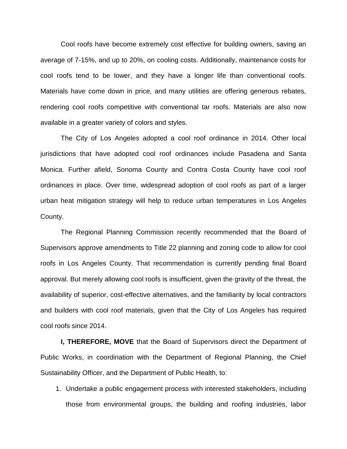Cool roofs have become extremely cost effective for building owners, saving an average of 7-15%, and up to 20%, on cooling costs. Additionally, maintenance costs for cool roofs tend to be lower, and they have a longer life than conventional roofs. Materials have come down in price, and many utilities are offering generous rebates, rendering cool roofs competitive with conventional tar roofs. Materials are also now available in a greater variety of colors and styles.

The City of Los Angeles adopted a cool roof ordinance in 2014. Other local jurisdictions that have adopted cool roof ordinances include Pasadena and Santa Monica. Further afield, Sonoma County and Contra Costa County have cool roof ordinances in place. Over time, widespread adoption of cool roofs as part of a larger urban heat mitigation strategy will help to reduce urban temperatures in Los Angeles County.

The Regional Planning Commission recently recommended that the Board of Supervisors approve amendments to Title 22 planning and zoning code to allow for cool roofs in Los Angeles County. That recommendation is currently pending final Board approval. But merely allowing cool roofs is insufficient, given the gravity of the threat, the availability of superior, cost-effective alternatives, and the familiarity by local contractors and builders with cool roof materials, given that the City of Los Angeles has required cool roofs since 2014.

**I, THEREFORE, MOVE** that the Board of Supervisors direct the Department of Public Works, in coordination with the Department of Regional Planning, the Chief Sustainability Officer, and the Department of Public Health, to:

1. Undertake a public engagement process with interested stakeholders, including those from environmental groups, the building and roofing industries, labor